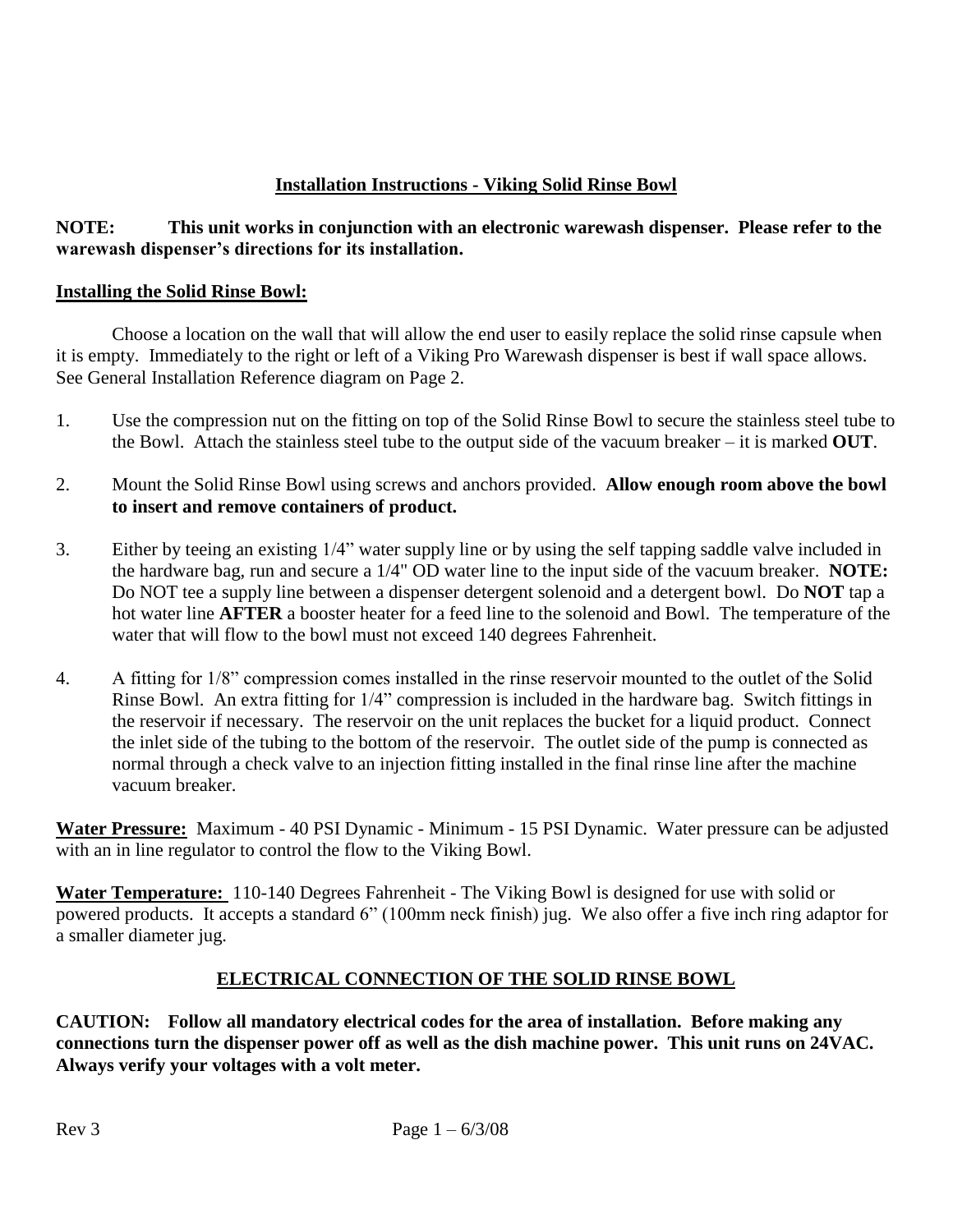# **Installation Instructions - Viking Solid Rinse Bowl**

## **NOTE: This unit works in conjunction with an electronic warewash dispenser. Please refer to the warewash dispenser's directions for its installation.**

## **Installing the Solid Rinse Bowl:**

Choose a location on the wall that will allow the end user to easily replace the solid rinse capsule when it is empty. Immediately to the right or left of a Viking Pro Warewash dispenser is best if wall space allows. See General Installation Reference diagram on Page 2.

- 1. Use the compression nut on the fitting on top of the Solid Rinse Bowl to secure the stainless steel tube to the Bowl. Attach the stainless steel tube to the output side of the vacuum breaker – it is marked **OUT**.
- 2. Mount the Solid Rinse Bowl using screws and anchors provided. **Allow enough room above the bowl to insert and remove containers of product.**
- 3. Either by teeing an existing 1/4" water supply line or by using the self tapping saddle valve included in the hardware bag, run and secure a 1/4" OD water line to the input side of the vacuum breaker. **NOTE:** Do NOT tee a supply line between a dispenser detergent solenoid and a detergent bowl. Do **NOT** tap a hot water line **AFTER** a booster heater for a feed line to the solenoid and Bowl. The temperature of the water that will flow to the bowl must not exceed 140 degrees Fahrenheit.
- 4. A fitting for 1/8" compression comes installed in the rinse reservoir mounted to the outlet of the Solid Rinse Bowl. An extra fitting for 1/4" compression is included in the hardware bag. Switch fittings in the reservoir if necessary. The reservoir on the unit replaces the bucket for a liquid product. Connect the inlet side of the tubing to the bottom of the reservoir. The outlet side of the pump is connected as normal through a check valve to an injection fitting installed in the final rinse line after the machine vacuum breaker.

**Water Pressure:** Maximum - 40 PSI Dynamic - Minimum - 15 PSI Dynamic. Water pressure can be adjusted with an in line regulator to control the flow to the Viking Bowl.

**Water Temperature:** 110-140 Degrees Fahrenheit - The Viking Bowl is designed for use with solid or powered products. It accepts a standard 6" (100mm neck finish) jug. We also offer a five inch ring adaptor for a smaller diameter jug.

# **ELECTRICAL CONNECTION OF THE SOLID RINSE BOWL**

**CAUTION: Follow all mandatory electrical codes for the area of installation. Before making any connections turn the dispenser power off as well as the dish machine power. This unit runs on 24VAC. Always verify your voltages with a volt meter.**